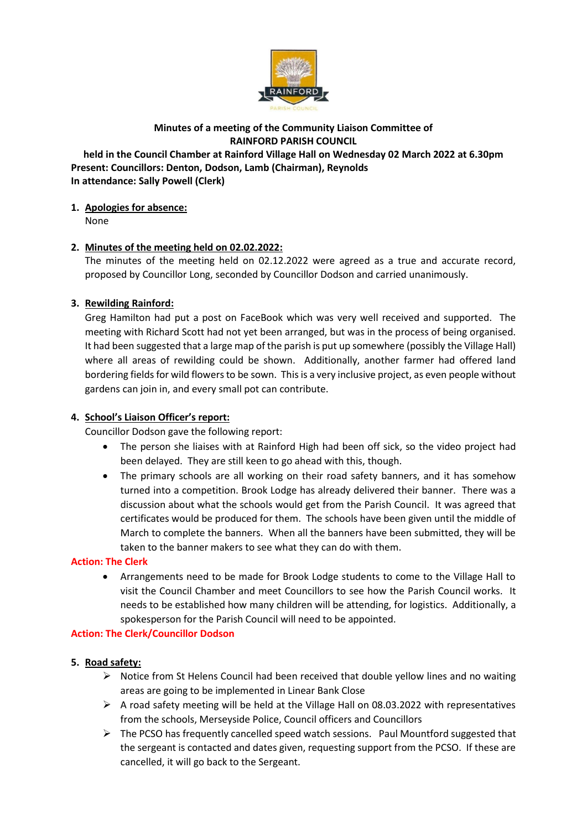

## **Minutes of a meeting of the Community Liaison Committee of RAINFORD PARISH COUNCIL**

**held in the Council Chamber at Rainford Village Hall on Wednesday 02 March 2022 at 6.30pm Present: Councillors: Denton, Dodson, Lamb (Chairman), Reynolds In attendance: Sally Powell (Clerk)**

# **1. Apologies for absence:**

None

# **2. Minutes of the meeting held on 02.02.2022:**

The minutes of the meeting held on 02.12.2022 were agreed as a true and accurate record, proposed by Councillor Long, seconded by Councillor Dodson and carried unanimously.

# **3. Rewilding Rainford:**

Greg Hamilton had put a post on FaceBook which was very well received and supported. The meeting with Richard Scott had not yet been arranged, but was in the process of being organised. It had been suggested that a large map of the parish is put up somewhere (possibly the Village Hall) where all areas of rewilding could be shown. Additionally, another farmer had offered land bordering fields for wild flowers to be sown. This is a very inclusive project, as even people without gardens can join in, and every small pot can contribute.

## **4. School's Liaison Officer's report:**

Councillor Dodson gave the following report:

- The person she liaises with at Rainford High had been off sick, so the video project had been delayed. They are still keen to go ahead with this, though.
- The primary schools are all working on their road safety banners, and it has somehow turned into a competition. Brook Lodge has already delivered their banner. There was a discussion about what the schools would get from the Parish Council. It was agreed that certificates would be produced for them. The schools have been given until the middle of March to complete the banners. When all the banners have been submitted, they will be taken to the banner makers to see what they can do with them.

## **Action: The Clerk**

• Arrangements need to be made for Brook Lodge students to come to the Village Hall to visit the Council Chamber and meet Councillors to see how the Parish Council works. It needs to be established how many children will be attending, for logistics. Additionally, a spokesperson for the Parish Council will need to be appointed.

## **Action: The Clerk/Councillor Dodson**

## **5. Road safety:**

- ➢ Notice from St Helens Council had been received that double yellow lines and no waiting areas are going to be implemented in Linear Bank Close
- $\triangleright$  A road safety meeting will be held at the Village Hall on 08.03.2022 with representatives from the schools, Merseyside Police, Council officers and Councillors
- $\triangleright$  The PCSO has frequently cancelled speed watch sessions. Paul Mountford suggested that the sergeant is contacted and dates given, requesting support from the PCSO. If these are cancelled, it will go back to the Sergeant.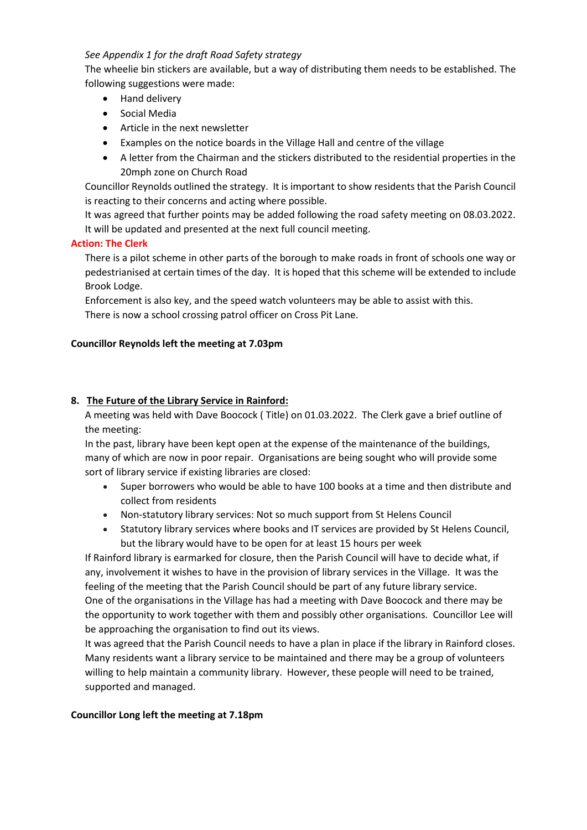### *See Appendix 1 for the draft Road Safety strategy*

The wheelie bin stickers are available, but a way of distributing them needs to be established. The following suggestions were made:

- Hand delivery
- Social Media
- Article in the next newsletter
- Examples on the notice boards in the Village Hall and centre of the village
- A letter from the Chairman and the stickers distributed to the residential properties in the 20mph zone on Church Road

Councillor Reynolds outlined the strategy. It is important to show residents that the Parish Council is reacting to their concerns and acting where possible.

It was agreed that further points may be added following the road safety meeting on 08.03.2022. It will be updated and presented at the next full council meeting.

#### **Action: The Clerk**

There is a pilot scheme in other parts of the borough to make roads in front of schools one way or pedestrianised at certain times of the day. It is hoped that this scheme will be extended to include Brook Lodge.

Enforcement is also key, and the speed watch volunteers may be able to assist with this. There is now a school crossing patrol officer on Cross Pit Lane.

#### **Councillor Reynolds left the meeting at 7.03pm**

#### **8. The Future of the Library Service in Rainford:**

A meeting was held with Dave Boocock ( Title) on 01.03.2022. The Clerk gave a brief outline of the meeting:

In the past, library have been kept open at the expense of the maintenance of the buildings, many of which are now in poor repair. Organisations are being sought who will provide some sort of library service if existing libraries are closed:

- Super borrowers who would be able to have 100 books at a time and then distribute and collect from residents
- Non-statutory library services: Not so much support from St Helens Council
- Statutory library services where books and IT services are provided by St Helens Council, but the library would have to be open for at least 15 hours per week

If Rainford library is earmarked for closure, then the Parish Council will have to decide what, if any, involvement it wishes to have in the provision of library services in the Village. It was the feeling of the meeting that the Parish Council should be part of any future library service. One of the organisations in the Village has had a meeting with Dave Boocock and there may be the opportunity to work together with them and possibly other organisations. Councillor Lee will be approaching the organisation to find out its views.

It was agreed that the Parish Council needs to have a plan in place if the library in Rainford closes. Many residents want a library service to be maintained and there may be a group of volunteers willing to help maintain a community library. However, these people will need to be trained, supported and managed.

#### **Councillor Long left the meeting at 7.18pm**